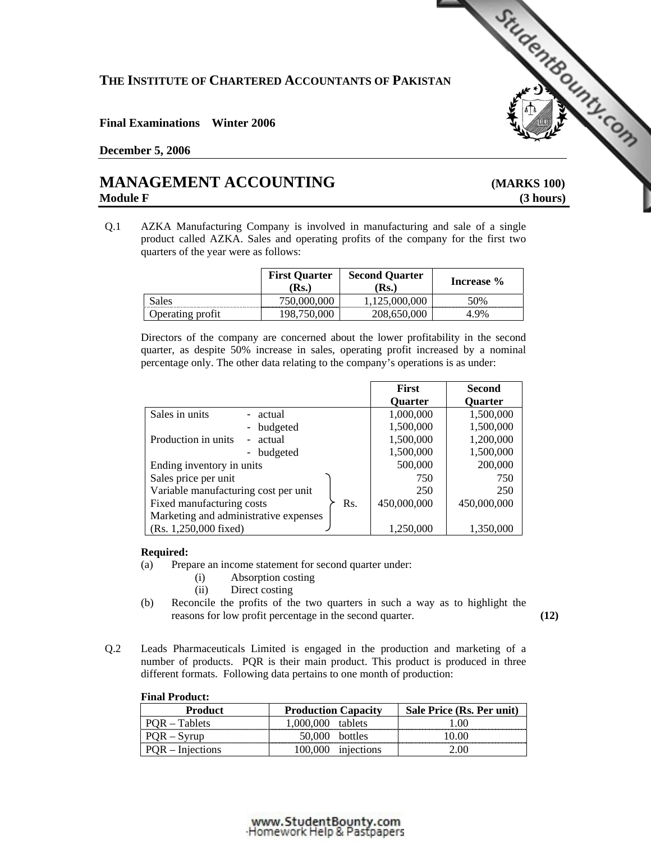# **THE INSTITUTE OF CHARTERED ACCOUNTANTS OF PAKISTAN**  THE INSTITUTE OF CHARTERED ACCOUNTANTS OF PAKISTAN<br>
Final Examinations Winter 2006<br>
<u>December 5, 2006</u><br> **MANAGEMENT ACCOUNTING** (MARKS 100)

#### **Final Examinations Winter 2006**

#### **December 5, 2006**

## **Module F** (3 hours)

Q.1 AZKA Manufacturing Company is involved in manufacturing and sale of a single product called AZKA. Sales and operating profits of the company for the first two quarters of the year were as follows:

|                  | <b>First Quarter</b><br>Rs. | <b>Second Quarter</b><br>$\mathbf{Rs.}$ | Increase % |
|------------------|-----------------------------|-----------------------------------------|------------|
| Sales            | 750,000,000                 | 125,000,000                             | 50%        |
| Operating profit |                             | 208,650,000                             | 1 9%       |

Directors of the company are concerned about the lower profitability in the second quarter, as despite 50% increase in sales, operating profit increased by a nominal percentage only. The other data relating to the company's operations is as under:

|                                                           | <b>First</b>   | <b>Second</b>  |
|-----------------------------------------------------------|----------------|----------------|
|                                                           | <b>Ouarter</b> | <b>Quarter</b> |
| Sales in units<br>- actual                                | 1,000,000      | 1,500,000      |
| - budgeted                                                | 1,500,000      | 1,500,000      |
| Production in units<br>actual<br>$\overline{\phantom{0}}$ | 1,500,000      | 1,200,000      |
| budgeted                                                  | 1,500,000      | 1,500,000      |
| Ending inventory in units                                 | 500,000        | 200,000        |
| Sales price per unit                                      | 750            | 750            |
| Variable manufacturing cost per unit                      | 250            | 250            |
| Fixed manufacturing costs<br>Rs.                          | 450,000,000    | 450,000,000    |
| Marketing and administrative expenses                     |                |                |
| (Rs. 1,250,000 fixed)                                     | 1,250,000      | 1,350,000      |

#### **Required:**

- (a) Prepare an income statement for second quarter under:
	- (i) Absorption costing
	- (ii) Direct costing
- (b) Reconcile the profits of the two quarters in such a way as to highlight the reasons for low profit percentage in the second quarter. **(12)**
- Q.2 Leads Pharmaceuticals Limited is engaged in the production and marketing of a number of products. PQR is their main product. This product is produced in three different formats. Following data pertains to one month of production:

| FINAL PTOQUEL:     |                            |                           |
|--------------------|----------------------------|---------------------------|
| <b>Product</b>     | <b>Production Capacity</b> | Sale Price (Rs. Per unit) |
| POR – Tablets      | 1,000,000 tablets          | 1.00                      |
| $POR - Syrup$      | $50,000$ bottles           | 0.00                      |
| $POR - Injections$ | 100,000 injections         | 2.00                      |

### **Final Product:**

#### www.StudentBounty.com Homework Help & Pastoapers-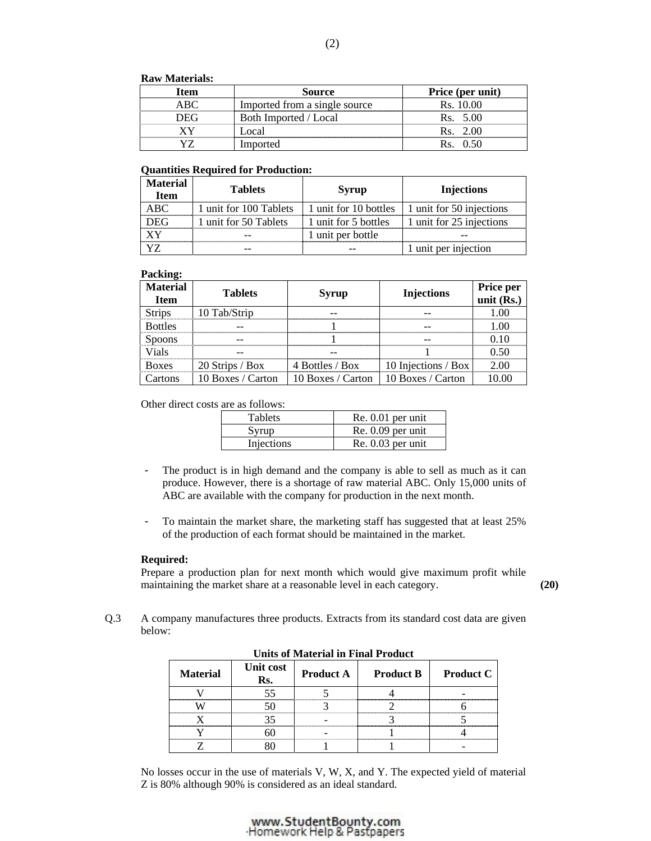#### **Raw Materials:**

| Item             | Source                        | Price (per unit) |
|------------------|-------------------------------|------------------|
| ABC <sup>1</sup> | Imported from a single source | Rs. 10.00        |
| - 1H ( –         | Both Imported / Local         | Rs. 5.00         |
|                  | Local                         | Rs. 2.00         |
|                  | Imported                      |                  |

#### **Quantities Required for Production:**

| <b>Material</b><br><b>Item</b> | <b>Tablets</b>         | Syrup                 | <b>Injections</b>        |
|--------------------------------|------------------------|-----------------------|--------------------------|
| ABC.                           | 1 unit for 100 Tablets | 1 unit for 10 bottles | 1 unit for 50 injections |
| DEG                            | 1 unit for 50 Tablets  | 1 unit for 5 bottles  | 1 unit for 25 injections |
|                                |                        | 1 unit per bottle     |                          |
|                                |                        |                       | 1 unit per injection     |

#### **Packing:**

| <b>Material</b><br><b>Item</b> | <b>Tablets</b>    | <b>Syrup</b>      | <b>Injections</b>   | Price per<br>unit $(Rs.)$ |
|--------------------------------|-------------------|-------------------|---------------------|---------------------------|
| <b>Strips</b>                  | 10 Tab/Strip      |                   |                     | 1 OC                      |
| <b>Bottles</b>                 |                   |                   |                     |                           |
| <b>Spoons</b>                  |                   |                   |                     | 0 I C                     |
| Vials                          |                   |                   |                     | 0.50                      |
| <b>Boxes</b>                   | 20 Strips / Box   | 4 Bottles / Box   | 10 Injections / Box | 2.00                      |
| `artons                        | 10 Boxes / Carton | 10 Boxes / Carton | 10 Boxes / Carton   | 10 OO                     |

Other direct costs are as follows:

| <b>Tablets</b> | $Re. 0.01$ per unit |
|----------------|---------------------|
| Syrup          | $Re. 0.09$ per unit |
| Injections     | $Re. 0.03$ per unit |

- The product is in high demand and the company is able to sell as much as it can produce. However, there is a shortage of raw material ABC. Only 15,000 units of ABC are available with the company for production in the next month.
- To maintain the market share, the marketing staff has suggested that at least 25% of the production of each format should be maintained in the market.

#### **Required:**

Prepare a production plan for next month which would give maximum profit while maintaining the market share at a reasonable level in each category. **(20) (20)** 

Q.3 A company manufactures three products. Extracts from its standard cost data are given below:

| <b>Material</b> | Unit cost<br>Rs. | <b>Product A</b> | <b>Product B</b> | <b>Product C</b> |
|-----------------|------------------|------------------|------------------|------------------|
|                 |                  |                  |                  |                  |
|                 |                  |                  |                  |                  |
|                 |                  |                  |                  |                  |
|                 |                  |                  |                  |                  |
|                 |                  |                  |                  |                  |

**Units of Material in Final Product** 

No losses occur in the use of materials V, W, X, and Y. The expected yield of material Z is 80% although 90% is considered as an ideal standard.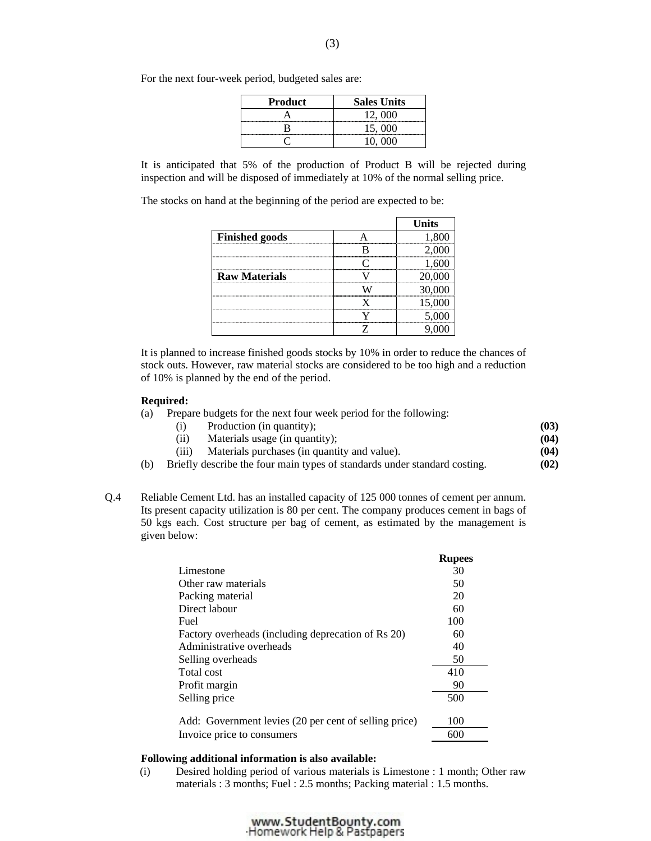| <b>Product</b> | <b>Sales Units</b> |
|----------------|--------------------|
|                | 12,000             |
|                | 15,000             |
|                | 10.000             |

For the next four-week period, budgeted sales are:

 It is anticipated that 5% of the production of Product B will be rejected during inspection and will be disposed of immediately at 10% of the normal selling price.

The stocks on hand at the beginning of the period are expected to be:

|                       | <b>Units</b> |
|-----------------------|--------------|
| <b>Finished goods</b> |              |
|                       |              |
|                       |              |
| <b>Raw Materials</b>  |              |
|                       |              |
|                       |              |
|                       |              |
|                       |              |

 It is planned to increase finished goods stocks by 10% in order to reduce the chances of stock outs. However, raw material stocks are considered to be too high and a reduction of 10% is planned by the end of the period.

#### **Required:**

- (a) Prepare budgets for the next four week period for the following:
	- (i) Production (in quantity);
	- (ii) Materials usage (in quantity); **(03) (04)**
	- (iii) Materials purchases (in quantity and value). **(04)**
- (b) Briefly describe the four main types of standards under standard costing. **(02)**
- Q.4 Reliable Cement Ltd. has an installed capacity of 125 000 tonnes of cement per annum. Its present capacity utilization is 80 per cent. The company produces cement in bags of 50 kgs each. Cost structure per bag of cement, as estimated by the management is given below:

|                                                       | <b>Rupees</b> |
|-------------------------------------------------------|---------------|
| Limestone                                             | 30            |
| Other raw materials                                   | 50            |
| Packing material                                      | 20            |
| Direct labour                                         | 60            |
| Fuel                                                  | 100           |
| Factory overheads (including deprecation of Rs 20)    | 60            |
| Administrative overheads                              | 40            |
| Selling overheads                                     | 50            |
| Total cost                                            | 410           |
| Profit margin                                         | 90            |
| Selling price                                         | 500           |
| Add: Government levies (20 per cent of selling price) | 100           |
| Invoice price to consumers                            | 600           |

#### **Following additional information is also available:**

(i) Desired holding period of various materials is Limestone : 1 month; Other raw materials : 3 months; Fuel : 2.5 months; Packing material : 1.5 months.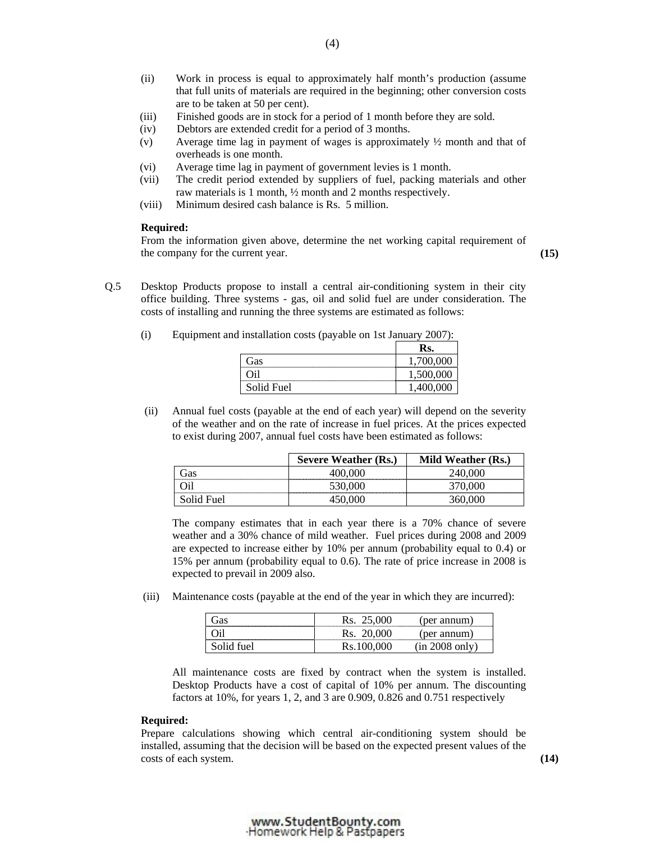- (ii) Work in process is equal to approximately half month's production (assume that full units of materials are required in the beginning; other conversion costs are to be taken at 50 per cent).
- (iii) Finished goods are in stock for a period of 1 month before they are sold.
- (iv) Debtors are extended credit for a period of 3 months.
- (v) Average time lag in payment of wages is approximately ½ month and that of overheads is one month.
- (vi) Average time lag in payment of government levies is 1 month.
- (vii) The credit period extended by suppliers of fuel, packing materials and other raw materials is 1 month, ½ month and 2 months respectively.
- (viii) Minimum desired cash balance is Rs. 5 million.

#### **Required:**

From the information given above, determine the net working capital requirement of the company for the current year. **(15)** 

Q.5 Desktop Products propose to install a central air-conditioning system in their city office building. Three systems - gas, oil and solid fuel are under consideration. The costs of installing and running the three systems are estimated as follows:

| $\sim$ $\sim$ | $\sim$     | Rs.    |
|---------------|------------|--------|
|               | Gas        | vv     |
|               | .<br>ч1    | 1,000  |
|               | Solid Fuel | $\sim$ |

- (i) Equipment and installation costs (payable on 1st January 2007):
- (ii) Annual fuel costs (payable at the end of each year) will depend on the severity of the weather and on the rate of increase in fuel prices. At the prices expected to exist during 2007, annual fuel costs have been estimated as follows:

|            | <b>Severe Weather (Rs.)</b> | Mild Weather (Rs.) |
|------------|-----------------------------|--------------------|
| Gas        | 400.000                     | 240.000            |
| Эil        | 530,000                     |                    |
| Solid Fuel |                             |                    |

 The company estimates that in each year there is a 70% chance of severe weather and a 30% chance of mild weather. Fuel prices during 2008 and 2009 are expected to increase either by 10% per annum (probability equal to 0.4) or 15% per annum (probability equal to 0.6). The rate of price increase in 2008 is expected to prevail in 2009 also.

(iii) Maintenance costs (payable at the end of the year in which they are incurred):

| ⌒<br>Gas | .000<br>rэ.<br>ت       | annum<br>per                          |
|----------|------------------------|---------------------------------------|
| ◡        | 00C<br>KS.<br>$\omega$ | 'per annum,                           |
| tuel     | 000<br>10.100          | ~~1<br>่าท่<br>` ∪llı ∶<br>$\sim$ 000 |

 All maintenance costs are fixed by contract when the system is installed. Desktop Products have a cost of capital of 10% per annum. The discounting factors at 10%, for years 1, 2, and 3 are 0.909, 0.826 and 0.751 respectively

#### **Required:**

 Prepare calculations showing which central air-conditioning system should be installed, assuming that the decision will be based on the expected present values of the costs of each system. **(14)**